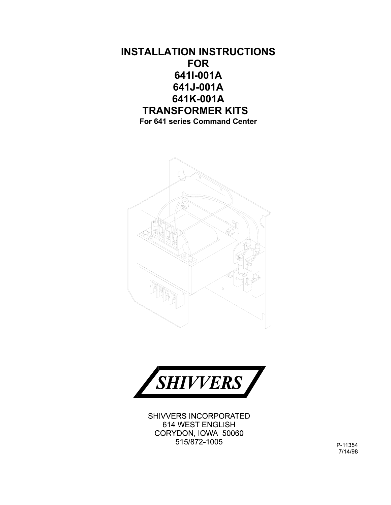**INSTALLATION INSTRUCTIONS FOR 641I-001A 641J-001A 641K-001A TRANSFORMER KITS For 641 series Command Center** 





SHIVVERS INCORPORATED **614 WEST ENGLISH** CORYDON, IOWA 50060 515/872-1005

P-11354 7/14/98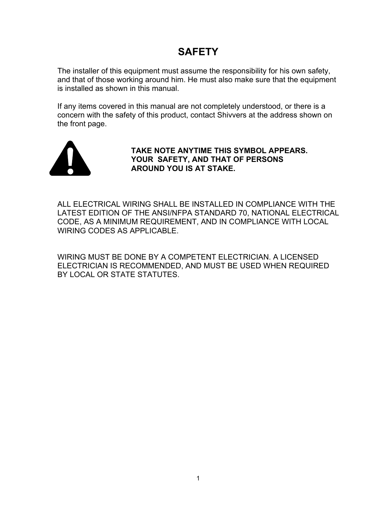## **SAFETY**

The installer of this equipment must assume the responsibility for his own safety, and that of those working around him. He must also make sure that the equipment is installed as shown in this manual.

If any items covered in this manual are not completely understood, or there is a concern with the safety of this product, contact Shivvers at the address shown on the front page.



**TAKE NOTE ANYTIME THIS SYMBOL APPEARS. YOUR SAFETY, AND THAT OF PERSONS AROUND YOU IS AT STAKE.**

ALL ELECTRICAL WIRING SHALL BE INSTALLED IN COMPLIANCE WITH THE LATEST EDITION OF THE ANSI/NFPA STANDARD 70, NATIONAL ELECTRICAL CODE, AS A MINIMUM REQUIREMENT, AND IN COMPLIANCE WITH LOCAL WIRING CODES AS APPLICABLE.

WIRING MUST BE DONE BY A COMPETENT ELECTRICIAN. A LICENSED ELECTRICIAN IS RECOMMENDED, AND MUST BE USED WHEN REQUIRED BY LOCAL OR STATE STATUTES.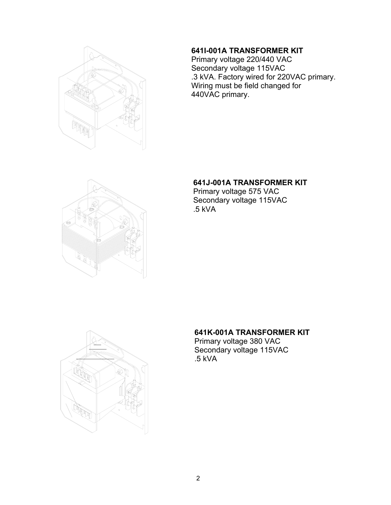

## **641I-001A TRANSFORMER KIT**

Primary voltage 220/440 VAC Secondary voltage 115VAC .3 kVA. Factory wired for 220VAC primary. Wiring must be field changed for 440VAC primary.



#### **641J-001A TRANSFORMER KIT**

Primary voltage 575 VAC Secondary voltage 115VAC .5 kVA



#### **641K-001A TRANSFORMER KIT**

Primary voltage 380 VAC Secondary voltage 115VAC .5 kVA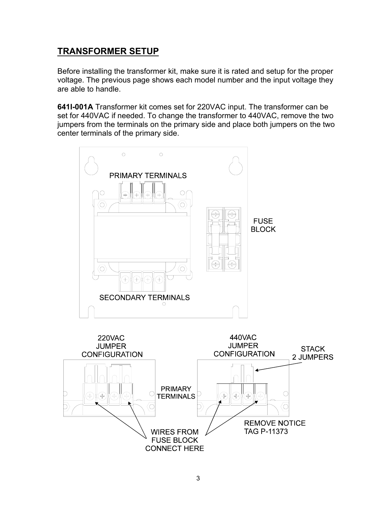## **TRANSFORMER SETUP**

Before installing the transformer kit, make sure it is rated and setup for the proper voltage. The previous page shows each model number and the input voltage they are able to handle.

**641I-001A** Transformer kit comes set for 220VAC input. The transformer can be set for 440VAC if needed. To change the transformer to 440VAC, remove the two jumpers from the terminals on the primary side and place both jumpers on the two center terminals of the primary side.



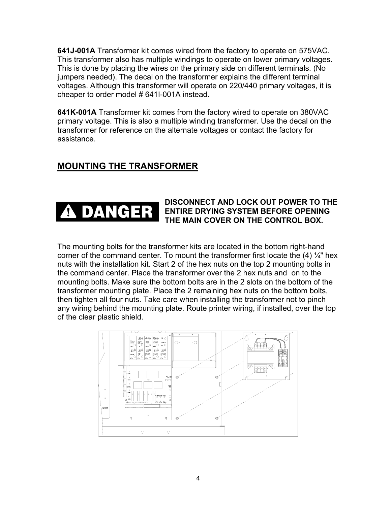**641J-001A** Transformer kit comes wired from the factory to operate on 575VAC. This transformer also has multiple windings to operate on lower primary voltages. This is done by placing the wires on the primary side on different terminals. (No jumpers needed). The decal on the transformer explains the different terminal voltages. Although this transformer will operate on 220/440 primary voltages, it is cheaper to order model # 641I-001A instead.

**641K-001A** Transformer kit comes from the factory wired to operate on 380VAC primary voltage. This is also a multiple winding transformer. Use the decal on the transformer for reference on the alternate voltages or contact the factory for assistance.

## **MOUNTING THE TRANSFORMER**

# **DANGER**

### **DISCONNECT AND LOCK OUT POWER TO THE ENTIRE DRYING SYSTEM BEFORE OPENING THE MAIN COVER ON THE CONTROL BOX.**

The mounting bolts for the transformer kits are located in the bottom right-hand corner of the command center. To mount the transformer first locate the (4) ¼" hex nuts with the installation kit. Start 2 of the hex nuts on the top 2 mounting bolts in the command center. Place the transformer over the 2 hex nuts and on to the mounting bolts. Make sure the bottom bolts are in the 2 slots on the bottom of the transformer mounting plate. Place the 2 remaining hex nuts on the bottom bolts, then tighten all four nuts. Take care when installing the transformer not to pinch any wiring behind the mounting plate. Route printer wiring, if installed, over the top of the clear plastic shield.